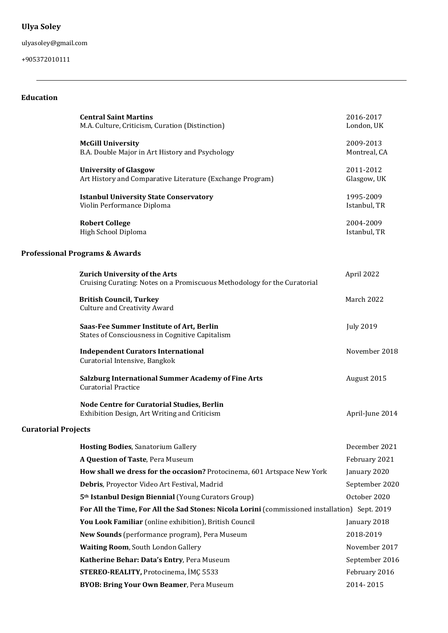# **Ulya Soley**

ulyasoley@gmail.com

+905372010111

## **Education**

| <b>McGill University</b><br>B.A. Double Major in Art History and Psychology<br><b>University of Glasgow</b><br>Art History and Comparative Literature (Exchange Program)<br><b>Istanbul University State Conservatory</b><br>Violin Performance Diploma<br><b>Robert College</b><br>High School Diploma<br><b>Professional Programs &amp; Awards</b><br><b>Zurich University of the Arts</b><br>April 2022<br>Cruising Curating: Notes on a Promiscuous Methodology for the Curatorial<br><b>British Council, Turkey</b><br><b>Culture and Creativity Award</b><br>Saas-Fee Summer Institute of Art, Berlin<br><b>July 2019</b><br>States of Consciousness in Cognitive Capitalism<br><b>Independent Curators International</b><br>Curatorial Intensive, Bangkok<br><b>Salzburg International Summer Academy of Fine Arts</b><br><b>Curatorial Practice</b><br>Node Centre for Curatorial Studies, Berlin<br>Exhibition Design, Art Writing and Criticism<br><b>Curatorial Projects</b><br><b>Hosting Bodies, Sanatorium Gallery</b><br>A Question of Taste, Pera Museum<br>How shall we dress for the occasion? Protocinema, 601 Artspace New York<br>Debris, Proyector Video Art Festival, Madrid<br>5 <sup>th</sup> Istanbul Design Biennial (Young Curators Group)<br>For All the Time, For All the Sad Stones: Nicola Lorini (commissioned installation) Sept. 2019<br>You Look Familiar (online exhibition), British Council<br>New Sounds (performance program), Pera Museum<br>Waiting Room, South London Gallery<br>Katherine Behar: Data's Entry, Pera Museum | 2016-2017<br>London, UK   |
|-------------------------------------------------------------------------------------------------------------------------------------------------------------------------------------------------------------------------------------------------------------------------------------------------------------------------------------------------------------------------------------------------------------------------------------------------------------------------------------------------------------------------------------------------------------------------------------------------------------------------------------------------------------------------------------------------------------------------------------------------------------------------------------------------------------------------------------------------------------------------------------------------------------------------------------------------------------------------------------------------------------------------------------------------------------------------------------------------------------------------------------------------------------------------------------------------------------------------------------------------------------------------------------------------------------------------------------------------------------------------------------------------------------------------------------------------------------------------------------------------------------------------------------------------------------------------|---------------------------|
|                                                                                                                                                                                                                                                                                                                                                                                                                                                                                                                                                                                                                                                                                                                                                                                                                                                                                                                                                                                                                                                                                                                                                                                                                                                                                                                                                                                                                                                                                                                                                                         | 2009-2013<br>Montreal, CA |
|                                                                                                                                                                                                                                                                                                                                                                                                                                                                                                                                                                                                                                                                                                                                                                                                                                                                                                                                                                                                                                                                                                                                                                                                                                                                                                                                                                                                                                                                                                                                                                         | 2011-2012<br>Glasgow, UK  |
|                                                                                                                                                                                                                                                                                                                                                                                                                                                                                                                                                                                                                                                                                                                                                                                                                                                                                                                                                                                                                                                                                                                                                                                                                                                                                                                                                                                                                                                                                                                                                                         | 1995-2009<br>Istanbul, TR |
|                                                                                                                                                                                                                                                                                                                                                                                                                                                                                                                                                                                                                                                                                                                                                                                                                                                                                                                                                                                                                                                                                                                                                                                                                                                                                                                                                                                                                                                                                                                                                                         | 2004-2009<br>Istanbul, TR |
|                                                                                                                                                                                                                                                                                                                                                                                                                                                                                                                                                                                                                                                                                                                                                                                                                                                                                                                                                                                                                                                                                                                                                                                                                                                                                                                                                                                                                                                                                                                                                                         |                           |
|                                                                                                                                                                                                                                                                                                                                                                                                                                                                                                                                                                                                                                                                                                                                                                                                                                                                                                                                                                                                                                                                                                                                                                                                                                                                                                                                                                                                                                                                                                                                                                         |                           |
|                                                                                                                                                                                                                                                                                                                                                                                                                                                                                                                                                                                                                                                                                                                                                                                                                                                                                                                                                                                                                                                                                                                                                                                                                                                                                                                                                                                                                                                                                                                                                                         | March 2022                |
|                                                                                                                                                                                                                                                                                                                                                                                                                                                                                                                                                                                                                                                                                                                                                                                                                                                                                                                                                                                                                                                                                                                                                                                                                                                                                                                                                                                                                                                                                                                                                                         |                           |
|                                                                                                                                                                                                                                                                                                                                                                                                                                                                                                                                                                                                                                                                                                                                                                                                                                                                                                                                                                                                                                                                                                                                                                                                                                                                                                                                                                                                                                                                                                                                                                         | November 2018             |
|                                                                                                                                                                                                                                                                                                                                                                                                                                                                                                                                                                                                                                                                                                                                                                                                                                                                                                                                                                                                                                                                                                                                                                                                                                                                                                                                                                                                                                                                                                                                                                         | August 2015               |
|                                                                                                                                                                                                                                                                                                                                                                                                                                                                                                                                                                                                                                                                                                                                                                                                                                                                                                                                                                                                                                                                                                                                                                                                                                                                                                                                                                                                                                                                                                                                                                         | April-June 2014           |
|                                                                                                                                                                                                                                                                                                                                                                                                                                                                                                                                                                                                                                                                                                                                                                                                                                                                                                                                                                                                                                                                                                                                                                                                                                                                                                                                                                                                                                                                                                                                                                         |                           |
|                                                                                                                                                                                                                                                                                                                                                                                                                                                                                                                                                                                                                                                                                                                                                                                                                                                                                                                                                                                                                                                                                                                                                                                                                                                                                                                                                                                                                                                                                                                                                                         | December 2021             |
|                                                                                                                                                                                                                                                                                                                                                                                                                                                                                                                                                                                                                                                                                                                                                                                                                                                                                                                                                                                                                                                                                                                                                                                                                                                                                                                                                                                                                                                                                                                                                                         | February 2021             |
|                                                                                                                                                                                                                                                                                                                                                                                                                                                                                                                                                                                                                                                                                                                                                                                                                                                                                                                                                                                                                                                                                                                                                                                                                                                                                                                                                                                                                                                                                                                                                                         | January 2020              |
|                                                                                                                                                                                                                                                                                                                                                                                                                                                                                                                                                                                                                                                                                                                                                                                                                                                                                                                                                                                                                                                                                                                                                                                                                                                                                                                                                                                                                                                                                                                                                                         | September 2020            |
|                                                                                                                                                                                                                                                                                                                                                                                                                                                                                                                                                                                                                                                                                                                                                                                                                                                                                                                                                                                                                                                                                                                                                                                                                                                                                                                                                                                                                                                                                                                                                                         | October 2020              |
|                                                                                                                                                                                                                                                                                                                                                                                                                                                                                                                                                                                                                                                                                                                                                                                                                                                                                                                                                                                                                                                                                                                                                                                                                                                                                                                                                                                                                                                                                                                                                                         |                           |
|                                                                                                                                                                                                                                                                                                                                                                                                                                                                                                                                                                                                                                                                                                                                                                                                                                                                                                                                                                                                                                                                                                                                                                                                                                                                                                                                                                                                                                                                                                                                                                         | January 2018              |
|                                                                                                                                                                                                                                                                                                                                                                                                                                                                                                                                                                                                                                                                                                                                                                                                                                                                                                                                                                                                                                                                                                                                                                                                                                                                                                                                                                                                                                                                                                                                                                         | 2018-2019                 |
|                                                                                                                                                                                                                                                                                                                                                                                                                                                                                                                                                                                                                                                                                                                                                                                                                                                                                                                                                                                                                                                                                                                                                                                                                                                                                                                                                                                                                                                                                                                                                                         | November 2017             |
|                                                                                                                                                                                                                                                                                                                                                                                                                                                                                                                                                                                                                                                                                                                                                                                                                                                                                                                                                                                                                                                                                                                                                                                                                                                                                                                                                                                                                                                                                                                                                                         | September 2016            |
| <b>STEREO-REALITY, Protocinema, İMÇ 5533</b>                                                                                                                                                                                                                                                                                                                                                                                                                                                                                                                                                                                                                                                                                                                                                                                                                                                                                                                                                                                                                                                                                                                                                                                                                                                                                                                                                                                                                                                                                                                            | February 2016             |
| <b>BYOB: Bring Your Own Beamer, Pera Museum</b>                                                                                                                                                                                                                                                                                                                                                                                                                                                                                                                                                                                                                                                                                                                                                                                                                                                                                                                                                                                                                                                                                                                                                                                                                                                                                                                                                                                                                                                                                                                         | 2014-2015                 |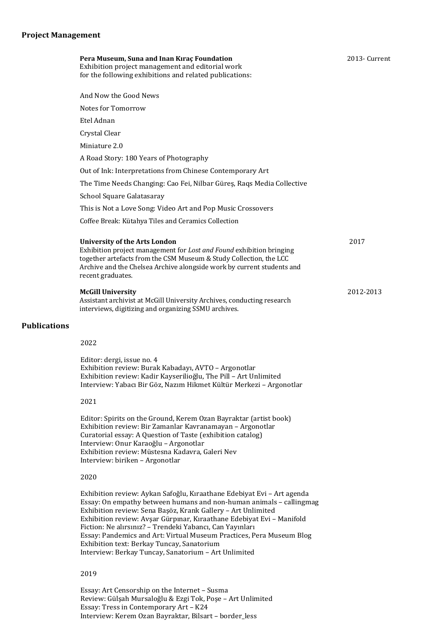|                     | Pera Museum, Suna and Inan Kıraç Foundation<br>Exhibition project management and editorial work<br>for the following exhibitions and related publications:                                                                                                                               | 2013- Current |
|---------------------|------------------------------------------------------------------------------------------------------------------------------------------------------------------------------------------------------------------------------------------------------------------------------------------|---------------|
|                     | And Now the Good News                                                                                                                                                                                                                                                                    |               |
|                     | Notes for Tomorrow                                                                                                                                                                                                                                                                       |               |
|                     | Etel Adnan                                                                                                                                                                                                                                                                               |               |
|                     | Crystal Clear                                                                                                                                                                                                                                                                            |               |
|                     | Miniature 2.0                                                                                                                                                                                                                                                                            |               |
|                     | A Road Story: 180 Years of Photography                                                                                                                                                                                                                                                   |               |
|                     | Out of Ink: Interpretations from Chinese Contemporary Art                                                                                                                                                                                                                                |               |
|                     | The Time Needs Changing: Cao Fei, Nilbar Güreş, Raqs Media Collective                                                                                                                                                                                                                    |               |
|                     | School Square Galatasaray                                                                                                                                                                                                                                                                |               |
|                     | This is Not a Love Song: Video Art and Pop Music Crossovers                                                                                                                                                                                                                              |               |
|                     | Coffee Break: Kütahya Tiles and Ceramics Collection                                                                                                                                                                                                                                      |               |
|                     | <b>University of the Arts London</b><br>Exhibition project management for Lost and Found exhibition bringing<br>together artefacts from the CSM Museum & Study Collection, the LCC<br>Archive and the Chelsea Archive alongside work by current students and<br>recent graduates.        | 2017          |
|                     | <b>McGill University</b><br>Assistant archivist at McGill University Archives, conducting research<br>interviews, digitizing and organizing SSMU archives.                                                                                                                               | 2012-2013     |
| <b>Publications</b> |                                                                                                                                                                                                                                                                                          |               |
|                     | 2022                                                                                                                                                                                                                                                                                     |               |
|                     | Editor: dergi, issue no. 4<br>Exhibition review: Burak Kabadayı, AVTO - Argonotlar<br>Exhibition review: Kadir Kayserilioğlu, The Pill - Art Unlimited<br>Interview: Yabacı Bir Göz, Nazım Hikmet Kültür Merkezi - Argonotlar                                                            |               |
|                     | 2021                                                                                                                                                                                                                                                                                     |               |
|                     | Editor: Spirits on the Ground, Kerem Ozan Bayraktar (artist book)<br>Exhibition review: Bir Zamanlar Kavranamayan - Argonotlar<br>Curatorial essay: A Question of Taste (exhibition catalog)<br>Interview: Onur Karaoğlu - Argonotlar<br>Exhibition review: Müstesna Kadavra, Galeri Nev |               |

2020

Interview: biriken - Argonotlar

Exhibition review: Aykan Safoğlu, Kıraathane Edebiyat Evi - Art agenda Essay: On empathy between humans and non-human animals - callingmag Exhibition review: Sena Başöz, Krank Gallery - Art Unlimited Exhibition review: Avşar Gürpınar, Kıraathane Edebiyat Evi - Manifold Fiction: Ne alırsınız? – Trendeki Yabancı, Can Yayınları Essay: Pandemics and Art: Virtual Museum Practices, Pera Museum Blog Exhibition text: Berkay Tuncay, Sanatorium Interview: Berkay Tuncay, Sanatorium - Art Unlimited

#### 2019

Essay: Art Censorship on the Internet - Susma Review: Gülşah Mursaloğlu & Ezgi Tok, Poşe - Art Unlimited Essay: Tress in Contemporary Art - K24 Interview: Kerem Ozan Bayraktar, Bilsart - border\_less